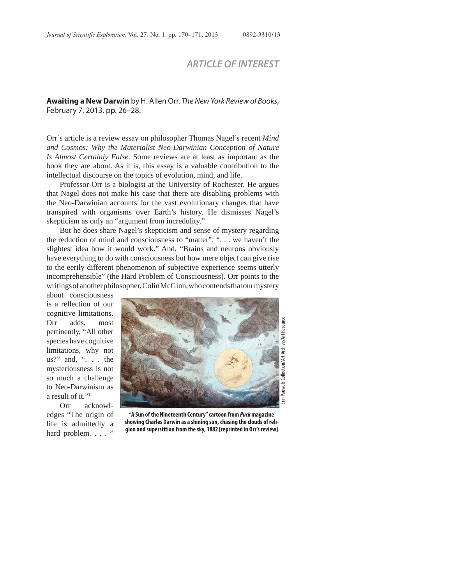## *ARTICLE OF INTEREST*

## **Awaiting a New Darwin** by H. Allen Orr. *The New York Review of Books*, February 7, 2013, pp. 26–28.

Orr's article is a review essay on philosopher Thomas Nagel's recent *Mind and Cosmos: Why the Materialist Neo-Darwinian Conception of Nature Is Almost Certainly False.* Some reviews are at least as important as the book they are about. As it is, this essay is a valuable contribution to the intellectual discourse on the topics of evolution, mind, and life.

Professor Orr is a biologist at the University of Rochester. He argues that Nagel does not make his case that there are disabling problems with the Neo-Darwinian accounts for the vast evolutionary changes that have transpired with organisms over Earth's history. He dismisses Nagel's skepticism as only an "argument from incredulity."

But he does share Nagel's skepticism and sense of mystery regarding the reduction of mind and consciousness to "matter": ". . . we haven't the slightest idea how it would work." And, "Brains and neurons obviously have everything to do with consciousness but how mere object can give rise to the eerily different phenomenon of subjective experience seems utterly incomprehensible" (the Hard Problem of Consciousness). Orr points to the writings of another philosopher, Colin McGinn, who contends that our mystery

about consciousness is a reflection of our cognitive limitations. Orr adds, most pertinently, "All other species have cognitive limitations, why not us?" and, ". . . the mysteriousness is not so much a challenge to Neo-Darwinism as a result of it."1

Orr acknowledges "The origin of life is admittedly a hard problem. . . . "



**"A Sun of the Nineteenth Century" cartoon from** *Puck* **magazine showing Charles Darwin as a shining sun, chasing the clouds of religion and superstition from the sky, 1882 [reprinted in Orr's review]**